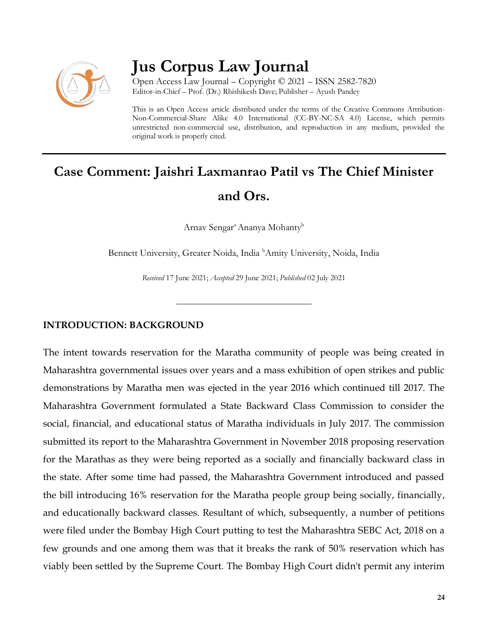

# **Jus Corpus Law Journal**

Open Access Law Journal – Copyright © 2021 – ISSN 2582-7820 Editor-in-Chief – Prof. (Dr.) Rhishikesh Dave; Publisher – Ayush Pandey

This is an Open Access article distributed under the terms of the Creative Commons Attribution-Non-Commercial-Share Alike 4.0 International (CC-BY-NC-SA 4.0) License, which permits unrestricted non-commercial use, distribution, and reproduction in any medium, provided the original work is properly cited.

# **Case Comment: Jaishri Laxmanrao Patil vs The Chief Minister and Ors.**

Arnav Sengar<sup>a</sup> Ananya Mohanty<sup>b</sup>

Bennett University, Greater Noida, India <sup>b</sup>Amity University, Noida, India

*Received* 17 June 2021; *Accepted* 29 June 2021; *Published* 02 July 2021

\_\_\_\_\_\_\_\_\_\_\_\_\_\_\_\_\_\_\_\_\_\_\_\_\_\_\_\_\_\_\_\_\_\_

## **INTRODUCTION: BACKGROUND**

The intent towards reservation for the Maratha community of people was being created in Maharashtra governmental issues over years and a mass exhibition of open strikes and public demonstrations by Maratha men was ejected in the year 2016 which continued till 2017. The Maharashtra Government formulated a State Backward Class Commission to consider the social, financial, and educational status of Maratha individuals in July 2017. The commission submitted its report to the Maharashtra Government in November 2018 proposing reservation for the Marathas as they were being reported as a socially and financially backward class in the state. After some time had passed, the Maharashtra Government introduced and passed the bill introducing 16% reservation for the Maratha people group being socially, financially, and educationally backward classes. Resultant of which, subsequently, a number of petitions were filed under the Bombay High Court putting to test the Maharashtra SEBC Act, 2018 on a few grounds and one among them was that it breaks the rank of 50% reservation which has viably been settled by the Supreme Court. The Bombay High Court didn't permit any interim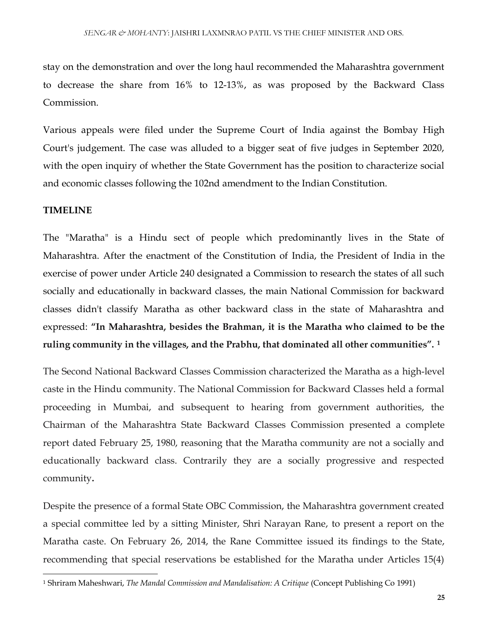stay on the demonstration and over the long haul recommended the Maharashtra government to decrease the share from 16% to 12-13%, as was proposed by the Backward Class Commission.

Various appeals were filed under the Supreme Court of India against the Bombay High Court's judgement. The case was alluded to a bigger seat of five judges in September 2020, with the open inquiry of whether the State Government has the position to characterize social and economic classes following the 102nd amendment to the Indian Constitution.

#### **TIMELINE**

 $\overline{\phantom{a}}$ 

The "Maratha" is a Hindu sect of people which predominantly lives in the State of Maharashtra. After the enactment of the Constitution of India, the President of India in the exercise of power under Article 240 designated a Commission to research the states of all such socially and educationally in backward classes, the main National Commission for backward classes didn't classify Maratha as other backward class in the state of Maharashtra and expressed: **"In Maharashtra, besides the Brahman, it is the Maratha who claimed to be the ruling community in the villages, and the Prabhu, that dominated all other communities". <sup>1</sup>**

The Second National Backward Classes Commission characterized the Maratha as a high-level caste in the Hindu community. The National Commission for Backward Classes held a formal proceeding in Mumbai, and subsequent to hearing from government authorities, the Chairman of the Maharashtra State Backward Classes Commission presented a complete report dated February 25, 1980, reasoning that the Maratha community are not a socially and educationally backward class. Contrarily they are a socially progressive and respected community**.** 

Despite the presence of a formal State OBC Commission, the Maharashtra government created a special committee led by a sitting Minister, Shri Narayan Rane, to present a report on the Maratha caste. On February 26, 2014, the Rane Committee issued its findings to the State, recommending that special reservations be established for the Maratha under Articles 15(4)

<sup>1</sup> Shriram Maheshwari, *The Mandal Commission and Mandalisation: A Critique* (Concept Publishing Co 1991)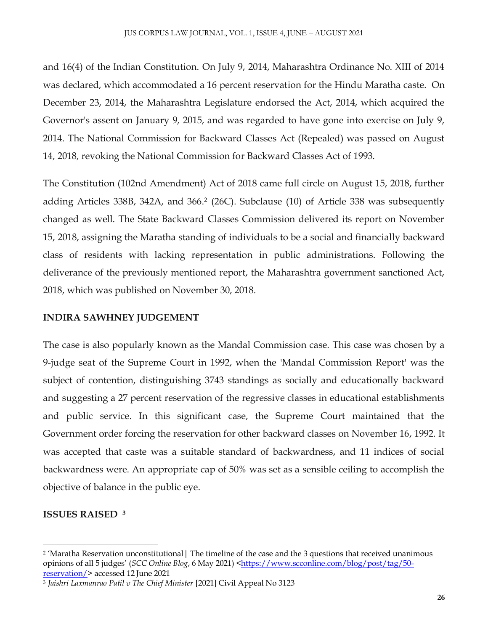and 16(4) of the Indian Constitution. On July 9, 2014, Maharashtra Ordinance No. XIII of 2014 was declared, which accommodated a 16 percent reservation for the Hindu Maratha caste. On December 23, 2014, the Maharashtra Legislature endorsed the Act, 2014, which acquired the Governor's assent on January 9, 2015, and was regarded to have gone into exercise on July 9, 2014. The National Commission for Backward Classes Act (Repealed) was passed on August 14, 2018, revoking the National Commission for Backward Classes Act of 1993.

The Constitution (102nd Amendment) Act of 2018 came full circle on August 15, 2018, further adding Articles 338B, 342A, and 366. 2 (26C). Subclause (10) of Article 338 was subsequently changed as well. The State Backward Classes Commission delivered its report on November 15, 2018, assigning the Maratha standing of individuals to be a social and financially backward class of residents with lacking representation in public administrations. Following the deliverance of the previously mentioned report, the Maharashtra government sanctioned Act, 2018, which was published on November 30, 2018.

# **INDIRA SAWHNEY JUDGEMENT**

The case is also popularly known as the Mandal Commission case. This case was chosen by a 9-judge seat of the Supreme Court in 1992, when the 'Mandal Commission Report' was the subject of contention, distinguishing 3743 standings as socially and educationally backward and suggesting a 27 percent reservation of the regressive classes in educational establishments and public service. In this significant case, the Supreme Court maintained that the Government order forcing the reservation for other backward classes on November 16, 1992. It was accepted that caste was a suitable standard of backwardness, and 11 indices of social backwardness were. An appropriate cap of 50% was set as a sensible ceiling to accomplish the objective of balance in the public eye.

## **ISSUES RAISED <sup>3</sup>**

 $\overline{\phantom{a}}$ <sup>2</sup> 'Maratha Reservation unconstitutional| The timeline of the case and the 3 questions that received unanimous opinions of all 5 judges' (*SCC Online Blog*, 6 May 2021) [<https://www.scconline.com/blog/post/tag/50](https://www.scconline.com/blog/post/tag/50-reservation/) [reservation/>](https://www.scconline.com/blog/post/tag/50-reservation/) accessed 12 June 2021

<sup>3</sup> *Jaishri Laxmanrao Patil v The Chief Minister* [2021] Civil Appeal No 3123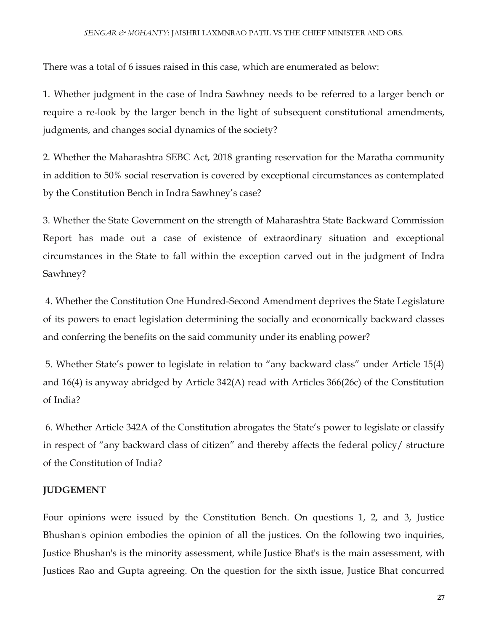There was a total of 6 issues raised in this case, which are enumerated as below:

1. Whether judgment in the case of Indra Sawhney needs to be referred to a larger bench or require a re-look by the larger bench in the light of subsequent constitutional amendments, judgments, and changes social dynamics of the society?

2. Whether the Maharashtra SEBC Act, 2018 granting reservation for the Maratha community in addition to 50% social reservation is covered by exceptional circumstances as contemplated by the Constitution Bench in Indra Sawhney's case?

3. Whether the State Government on the strength of Maharashtra State Backward Commission Report has made out a case of existence of extraordinary situation and exceptional circumstances in the State to fall within the exception carved out in the judgment of Indra Sawhney?

4. Whether the Constitution One Hundred-Second Amendment deprives the State Legislature of its powers to enact legislation determining the socially and economically backward classes and conferring the benefits on the said community under its enabling power?

5. Whether State's power to legislate in relation to "any backward class" under Article 15(4) and 16(4) is anyway abridged by Article 342(A) read with Articles 366(26c) of the Constitution of India?

6. Whether Article 342A of the Constitution abrogates the State's power to legislate or classify in respect of "any backward class of citizen" and thereby affects the federal policy/ structure of the Constitution of India?

## **JUDGEMENT**

Four opinions were issued by the Constitution Bench. On questions 1, 2, and 3, Justice Bhushan's opinion embodies the opinion of all the justices. On the following two inquiries, Justice Bhushan's is the minority assessment, while Justice Bhat's is the main assessment, with Justices Rao and Gupta agreeing. On the question for the sixth issue, Justice Bhat concurred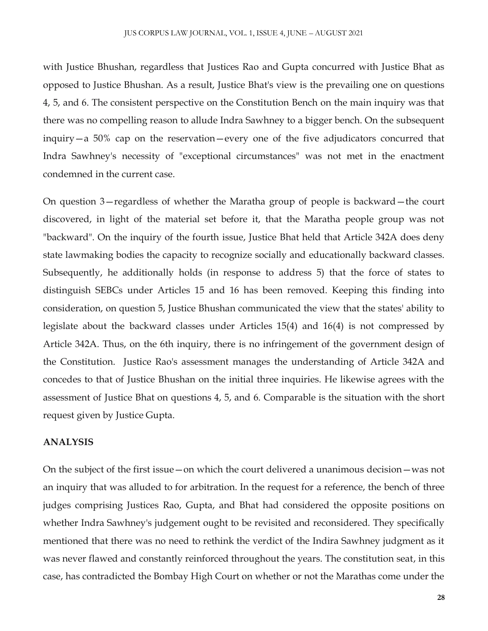with Justice Bhushan, regardless that Justices Rao and Gupta concurred with Justice Bhat as opposed to Justice Bhushan. As a result, Justice Bhat's view is the prevailing one on questions 4, 5, and 6. The consistent perspective on the Constitution Bench on the main inquiry was that there was no compelling reason to allude Indra Sawhney to a bigger bench. On the subsequent inquiry—a 50% cap on the reservation—every one of the five adjudicators concurred that Indra Sawhney's necessity of "exceptional circumstances" was not met in the enactment condemned in the current case.

On question 3—regardless of whether the Maratha group of people is backward—the court discovered, in light of the material set before it, that the Maratha people group was not "backward". On the inquiry of the fourth issue, Justice Bhat held that Article 342A does deny state lawmaking bodies the capacity to recognize socially and educationally backward classes. Subsequently, he additionally holds (in response to address 5) that the force of states to distinguish SEBCs under Articles 15 and 16 has been removed. Keeping this finding into consideration, on question 5, Justice Bhushan communicated the view that the states' ability to legislate about the backward classes under Articles 15(4) and 16(4) is not compressed by Article 342A. Thus, on the 6th inquiry, there is no infringement of the government design of the Constitution. Justice Rao's assessment manages the understanding of Article 342A and concedes to that of Justice Bhushan on the initial three inquiries. He likewise agrees with the assessment of Justice Bhat on questions 4, 5, and 6. Comparable is the situation with the short request given by Justice Gupta.

#### **ANALYSIS**

On the subject of the first issue—on which the court delivered a unanimous decision—was not an inquiry that was alluded to for arbitration. In the request for a reference, the bench of three judges comprising Justices Rao, Gupta, and Bhat had considered the opposite positions on whether Indra Sawhney's judgement ought to be revisited and reconsidered. They specifically mentioned that there was no need to rethink the verdict of the Indira Sawhney judgment as it was never flawed and constantly reinforced throughout the years. The constitution seat, in this case, has contradicted the Bombay High Court on whether or not the Marathas come under the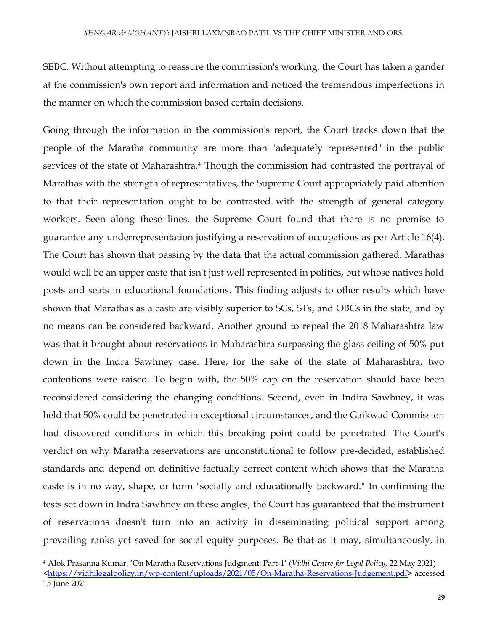SEBC. Without attempting to reassure the commission's working, the Court has taken a gander at the commission's own report and information and noticed the tremendous imperfections in the manner on which the commission based certain decisions.

Going through the information in the commission's report, the Court tracks down that the people of the Maratha community are more than "adequately represented" in the public services of the state of Maharashtra.<sup>4</sup> Though the commission had contrasted the portrayal of Marathas with the strength of representatives, the Supreme Court appropriately paid attention to that their representation ought to be contrasted with the strength of general category workers. Seen along these lines, the Supreme Court found that there is no premise to guarantee any underrepresentation justifying a reservation of occupations as per Article 16(4). The Court has shown that passing by the data that the actual commission gathered, Marathas would well be an upper caste that isn't just well represented in politics, but whose natives hold posts and seats in educational foundations. This finding adjusts to other results which have shown that Marathas as a caste are visibly superior to SCs, STs, and OBCs in the state, and by no means can be considered backward. Another ground to repeal the 2018 Maharashtra law was that it brought about reservations in Maharashtra surpassing the glass ceiling of 50% put down in the Indra Sawhney case. Here, for the sake of the state of Maharashtra, two contentions were raised. To begin with, the 50% cap on the reservation should have been reconsidered considering the changing conditions. Second, even in Indira Sawhney, it was held that 50% could be penetrated in exceptional circumstances, and the Gaikwad Commission had discovered conditions in which this breaking point could be penetrated. The Court's verdict on why Maratha reservations are unconstitutional to follow pre-decided, established standards and depend on definitive factually correct content which shows that the Maratha caste is in no way, shape, or form "socially and educationally backward." In confirming the tests set down in Indra Sawhney on these angles, the Court has guaranteed that the instrument of reservations doesn't turn into an activity in disseminating political support among prevailing ranks yet saved for social equity purposes. Be that as it may, simultaneously, in

 $\overline{\phantom{a}}$ 

<sup>4</sup> Alok Prasanna Kumar, 'On Maratha Reservations Judgment: Part-1' (*Vidhi Centre for Legal Policy*, 22 May 2021) [<https://vidhilegalpolicy.in/wp-content/uploads/2021/05/On-Maratha-Reservations-Judgement.pdf>](https://vidhilegalpolicy.in/wp-content/uploads/2021/05/On-Maratha-Reservations-Judgement.pdf) accessed 15 June 2021